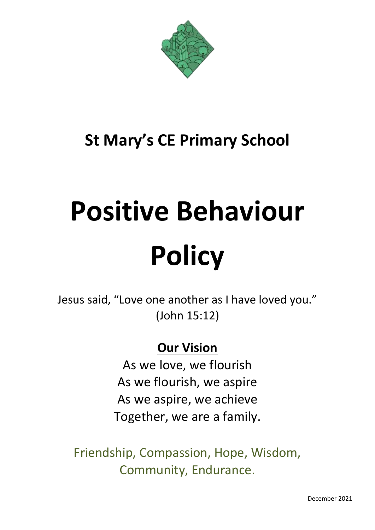

# **St Mary's CE Primary School**

# **Positive Behaviour Policy**

Jesus said, "Love one another as I have loved you." (John 15:12)

## **Our Vision**

As we love, we flourish As we flourish, we aspire As we aspire, we achieve Together, we are a family.

Friendship, Compassion, Hope, Wisdom, Community, Endurance.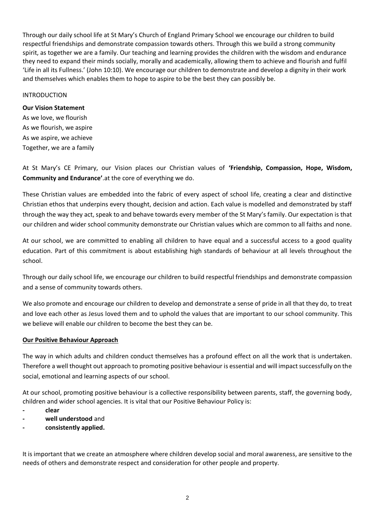Through our daily school life at St Mary's Church of England Primary School we encourage our children to build respectful friendships and demonstrate compassion towards others. Through this we build a strong community spirit, as together we are a family. Our teaching and learning provides the children with the wisdom and endurance they need to expand their minds socially, morally and academically, allowing them to achieve and flourish and fulfil 'Life in all its Fullness.' (John 10:10). We encourage our children to demonstrate and develop a dignity in their work and themselves which enables them to hope to aspire to be the best they can possibly be.

#### INTRODUCTION

#### **Our Vision Statement**

As we love, we flourish As we flourish, we aspire As we aspire, we achieve Together, we are a family

At St Mary's CE Primary, our Vision places our Christian values of **'Friendship, Compassion, Hope, Wisdom, Community and Endurance'**.at the core of everything we do.

These Christian values are embedded into the fabric of every aspect of school life, creating a clear and distinctive Christian ethos that underpins every thought, decision and action. Each value is modelled and demonstrated by staff through the way they act, speak to and behave towards every member of the St Mary's family. Our expectation is that our children and wider school community demonstrate our Christian values which are common to all faiths and none.

At our school, we are committed to enabling all children to have equal and a successful access to a good quality education. Part of this commitment is about establishing high standards of behaviour at all levels throughout the school.

Through our daily school life, we encourage our children to build respectful friendships and demonstrate compassion and a sense of community towards others.

We also promote and encourage our children to develop and demonstrate a sense of pride in all that they do, to treat and love each other as Jesus loved them and to uphold the values that are important to our school community. This we believe will enable our children to become the best they can be.

#### **Our Positive Behaviour Approach**

The way in which adults and children conduct themselves has a profound effect on all the work that is undertaken. Therefore a well thought out approach to promoting positive behaviour is essential and will impact successfully on the social, emotional and learning aspects of our school.

At our school, promoting positive behaviour is a collective responsibility between parents, staff, the governing body, children and wider school agencies. It is vital that our Positive Behaviour Policy is:

- **- clear**
- **- well understood** and
- **- consistently applied.**

It is important that we create an atmosphere where children develop social and moral awareness, are sensitive to the needs of others and demonstrate respect and consideration for other people and property.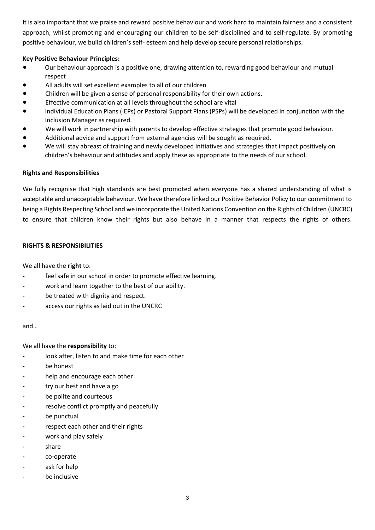It is also important that we praise and reward positive behaviour and work hard to maintain fairness and a consistent approach, whilst promoting and encouraging our children to be self-disciplined and to self-regulate. By promoting positive behaviour, we build children's self- esteem and help develop secure personal relationships.

#### **Key Positive Behaviour Principles:**

- Our behaviour approach is a positive one, drawing attention to, rewarding good behaviour and mutual respect
- All adults will set excellent examples to all of our children
- Children will be given a sense of personal responsibility for their own actions.
- Effective communication at all levels throughout the school are vital
- Individual Education Plans (IEPs) or Pastoral Support Plans (PSPs) will be developed in conjunction with the Inclusion Manager as required.
- We will work in partnership with parents to develop effective strategies that promote good behaviour.
- Additional advice and support from external agencies will be sought as required.
- We will stay abreast of training and newly developed initiatives and strategies that impact positively on children's behaviour and attitudes and apply these as appropriate to the needs of our school.

#### **Rights and Responsibilities**

We fully recognise that high standards are best promoted when everyone has a shared understanding of what is acceptable and unacceptable behaviour. We have therefore linked our Positive Behavior Policy to our commitment to being a Rights Respecting School and we incorporate the United Nations Convention on the Rights of Children (UNCRC) to ensure that children know their rights but also behave in a manner that respects the rights of others.

#### **RIGHTS & RESPONSIBILITIES**

We all have the **right** to:

- **-** feel safe in our school in order to promote effective learning.
- **-** work and learn together to the best of our ability.
- **-** be treated with dignity and respect.
- **-** access our rights as laid out in the UNCRC

#### and…

We all have the **responsibility** to:

- **-** look after, listen to and make time for each other
- **-** be honest
- **-** help and encourage each other
- **-** try our best and have a go
- **-** be polite and courteous
- **-** resolve conflict promptly and peacefully
- **-** be punctual
- **-** respect each other and their rights
- **-** work and play safely
- **-** share
- **-** co-operate
- **-** ask for help
- **-** be inclusive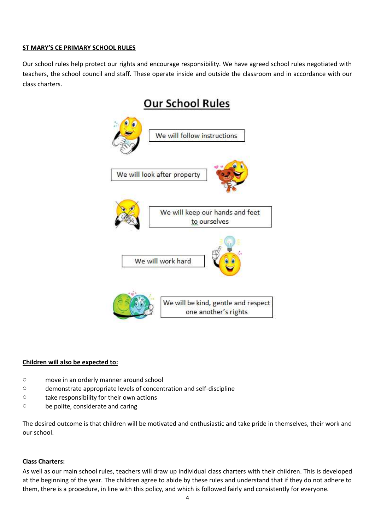#### **ST MARY'S CE PRIMARY SCHOOL RULES**

Our school rules help protect our rights and encourage responsibility. We have agreed school rules negotiated with teachers, the school council and staff. These operate inside and outside the classroom and in accordance with our class charters.

### **Our School Rules**



#### **Children will also be expected to:**

- o move in an orderly manner around school
- o demonstrate appropriate levels of concentration and self-discipline
- o take responsibility for their own actions
- o be polite, considerate and caring

The desired outcome is that children will be motivated and enthusiastic and take pride in themselves, their work and our school.

#### **Class Charters:**

As well as our main school rules, teachers will draw up individual class charters with their children. This is developed at the beginning of the year. The children agree to abide by these rules and understand that if they do not adhere to them, there is a procedure, in line with this policy, and which is followed fairly and consistently for everyone.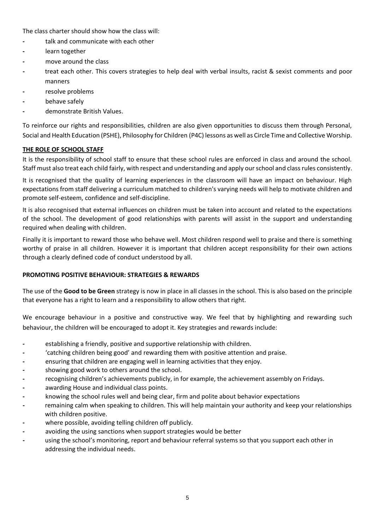The class charter should show how the class will:

- **-** talk and communicate with each other
- **-** learn together
- **-** move around the class
- **-** treat each other. This covers strategies to help deal with verbal insults, racist & sexist comments and poor manners
- **-** resolve problems
- **-** behave safely
- **-** demonstrate British Values.

To reinforce our rights and responsibilities, children are also given opportunities to discuss them through Personal, Social and Health Education (PSHE), Philosophy for Children (P4C) lessons as well as Circle Time and Collective Worship.

#### **THE ROLE OF SCHOOL STAFF**

It is the responsibility of school staff to ensure that these school rules are enforced in class and around the school. Staff must also treat each child fairly, with respect and understanding and apply our school and class rules consistently.

It is recognised that the quality of learning experiences in the classroom will have an impact on behaviour. High expectations from staff delivering a curriculum matched to children's varying needs will help to motivate children and promote self-esteem, confidence and self-discipline.

It is also recognised that external influences on children must be taken into account and related to the expectations of the school. The development of good relationships with parents will assist in the support and understanding required when dealing with children.

Finally it is important to reward those who behave well. Most children respond well to praise and there is something worthy of praise in all children. However it is important that children accept responsibility for their own actions through a clearly defined code of conduct understood by all.

#### **PROMOTING POSITIVE BEHAVIOUR: STRATEGIES & REWARDS**

The use of the **Good to be Green** strategy is now in place in all classes in the school. This is also based on the principle that everyone has a right to learn and a responsibility to allow others that right.

We encourage behaviour in a positive and constructive way. We feel that by highlighting and rewarding such behaviour, the children will be encouraged to adopt it. Key strategies and rewards include:

- **-** establishing a friendly, positive and supportive relationship with children.
- **-** 'catching children being good' and rewarding them with positive attention and praise.
- **-** ensuring that children are engaging well in learning activities that they enjoy.
- **-** showing good work to others around the school.
- **-** recognising children's achievements publicly, in for example, the achievement assembly on Fridays.
- **-** awarding House and individual class points.
- **-** knowing the school rules well and being clear, firm and polite about behavior expectations
- **-** remaining calm when speaking to children. This will help maintain your authority and keep your relationships with children positive.
- **-** where possible, avoiding telling children off publicly.
- **-** avoiding the using sanctions when support strategies would be better
- **-** using the school's monitoring, report and behaviour referral systems so that you support each other in addressing the individual needs.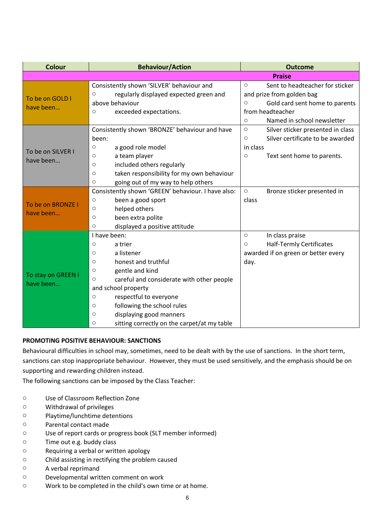| <b>Colour</b>      | <b>Behaviour/Action</b>                                | <b>Outcome</b>                               |
|--------------------|--------------------------------------------------------|----------------------------------------------|
|                    |                                                        | <b>Praise</b>                                |
|                    | Consistently shown 'SILVER' behaviour and              | Sent to headteacher for sticker<br>$\circ$   |
| To be on GOLD I    | regularly displayed expected green and<br>$\circ$      | and prize from golden bag                    |
| have been          | above behaviour                                        | Gold card sent home to parents<br>$\circ$    |
|                    | exceeded expectations.<br>$\circ$                      | from headteacher                             |
|                    |                                                        | Named in school newsletter<br>$\circ$        |
|                    | Consistently shown 'BRONZE' behaviour and have         | $\circ$<br>Silver sticker presented in class |
|                    | been:                                                  | Silver certificate to be awarded<br>$\circ$  |
| To be on SILVER I  | a good role model<br>$\circ$                           | in class                                     |
| have been          | a team player<br>$\circ$                               | Text sent home to parents.<br>$\circ$        |
|                    | included others regularly<br>$\circ$                   |                                              |
|                    | taken responsibility for my own behaviour<br>$\circ$   |                                              |
|                    | going out of my way to help others<br>$\circ$          |                                              |
|                    | Consistently shown 'GREEN' behaviour. I have also:     | $\circ$<br>Bronze sticker presented in       |
| To be on BRONZE I  | been a good sport<br>$\circ$                           | class                                        |
| have been          | helped others<br>$\circ$                               |                                              |
|                    | been extra polite<br>$\circ$                           |                                              |
|                    | displayed a positive attitude<br>$\circ$               |                                              |
|                    | I have been:                                           | In class praise<br>$\circ$                   |
|                    | $\circ$<br>a trier                                     | Half-Termly Certificates<br>$\circ$          |
|                    | a listener<br>$\circ$                                  | awarded if on green or better every          |
|                    | honest and truthful<br>$\circ$                         | day.                                         |
| To stay on GREEN I | gentle and kind<br>$\circ$                             |                                              |
| have been          | careful and considerate with other people<br>$\circ$   |                                              |
|                    | and school property                                    |                                              |
|                    | respectful to everyone<br>$\circ$                      |                                              |
|                    | following the school rules<br>$\circ$                  |                                              |
|                    | displaying good manners<br>$\circ$                     |                                              |
|                    | sitting correctly on the carpet/at my table<br>$\circ$ |                                              |

#### **PROMOTING POSITIVE BEHAVIOUR: SANCTIONS**

Behavioural difficulties in school may, sometimes, need to be dealt with by the use of sanctions. In the short term, sanctions can stop inappropriate behaviour. However, they must be used sensitively, and the emphasis should be on supporting and rewarding children instead.

The following sanctions can be imposed by the Class Teacher:

- o Use of Classroom Reflection Zone
- o Withdrawal of privileges
- o Playtime/lunchtime detentions
- o Parental contact made
- o Use of report cards or progress book (SLT member informed)
- o Time out e.g. buddy class
- o Requiring a verbal or written apology
- o Child assisting in rectifying the problem caused
- o A verbal reprimand
- o Developmental written comment on work
- o Work to be completed in the child's own time or at home.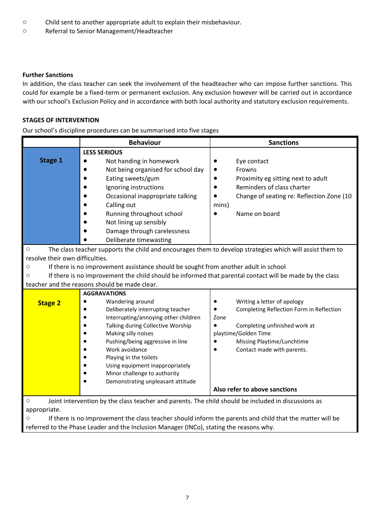- o Child sent to another appropriate adult to explain their misbehaviour.
- o Referral to Senior Management/Headteacher

#### **Further Sanctions**

In addition, the class teacher can seek the involvement of the headteacher who can impose further sanctions. This could for example be a fixed-term or permanent exclusion. Any exclusion however will be carried out in accordance with our school's Exclusion Policy and in accordance with both local authority and statutory exclusion requirements.

#### **STAGES OF INTERVENTION**

Our school's discipline procedures can be summarised into five stages

|                                                                                                               | <b>Behaviour</b>                                                                                    | <b>Sanctions</b>                                                                                         |  |  |
|---------------------------------------------------------------------------------------------------------------|-----------------------------------------------------------------------------------------------------|----------------------------------------------------------------------------------------------------------|--|--|
|                                                                                                               | <b>LESS SERIOUS</b>                                                                                 |                                                                                                          |  |  |
| <b>Stage 1</b>                                                                                                | Not handing in homework                                                                             | Eye contact                                                                                              |  |  |
|                                                                                                               | Not being organised for school day                                                                  | Frowns                                                                                                   |  |  |
|                                                                                                               | Eating sweets/gum                                                                                   | Proximity eg sitting next to adult                                                                       |  |  |
|                                                                                                               | Ignoring instructions                                                                               | Reminders of class charter                                                                               |  |  |
|                                                                                                               | Occasional inappropriate talking                                                                    | Change of seating re: Reflection Zone (10                                                                |  |  |
|                                                                                                               | Calling out                                                                                         | mins)                                                                                                    |  |  |
|                                                                                                               | Running throughout school                                                                           | Name on board<br>$\bullet$                                                                               |  |  |
|                                                                                                               | Not lining up sensibly                                                                              |                                                                                                          |  |  |
|                                                                                                               | Damage through carelessness                                                                         |                                                                                                          |  |  |
|                                                                                                               | Deliberate timewasting                                                                              |                                                                                                          |  |  |
| $\circ$                                                                                                       |                                                                                                     | The class teacher supports the child and encourages them to develop strategies which will assist them to |  |  |
| resolve their own difficulties.                                                                               |                                                                                                     |                                                                                                          |  |  |
| $\circ$                                                                                                       | If there is no improvement assistance should be sought from another adult in school                 |                                                                                                          |  |  |
| $\circ$                                                                                                       |                                                                                                     | If there is no improvement the child should be informed that parental contact will be made by the class  |  |  |
|                                                                                                               | teacher and the reasons should be made clear.                                                       |                                                                                                          |  |  |
|                                                                                                               | <b>AGGRAVATIONS</b>                                                                                 |                                                                                                          |  |  |
| <b>Stage 2</b>                                                                                                | Wandering around                                                                                    | Writing a letter of apology                                                                              |  |  |
|                                                                                                               | Deliberately interrupting teacher                                                                   | Completing Reflection Form in Reflection<br>$\bullet$                                                    |  |  |
|                                                                                                               | Interrupting/annoying other children                                                                | Zone                                                                                                     |  |  |
|                                                                                                               | Talking during Collective Worship                                                                   | Completing unfinished work at                                                                            |  |  |
|                                                                                                               | Making silly noises                                                                                 | playtime/Golden Time                                                                                     |  |  |
|                                                                                                               | Pushing/being aggressive in line                                                                    | Missing Playtime/Lunchtime                                                                               |  |  |
|                                                                                                               | Work avoidance                                                                                      | Contact made with parents.                                                                               |  |  |
|                                                                                                               | Playing in the toilets                                                                              |                                                                                                          |  |  |
|                                                                                                               | Using equipment inappropriately                                                                     |                                                                                                          |  |  |
|                                                                                                               | Minor challenge to authority                                                                        |                                                                                                          |  |  |
|                                                                                                               | Demonstrating unpleasant attitude                                                                   |                                                                                                          |  |  |
|                                                                                                               |                                                                                                     | Also refer to above sanctions                                                                            |  |  |
| $\circ$                                                                                                       | Joint intervention by the class teacher and parents. The child should be included in discussions as |                                                                                                          |  |  |
| appropriate.                                                                                                  |                                                                                                     |                                                                                                          |  |  |
| If there is no improvement the class teacher should inform the parents and child that the matter will be<br>O |                                                                                                     |                                                                                                          |  |  |
|                                                                                                               | referred to the Phase Leader and the Inclusion Manager (INCo), stating the reasons why.             |                                                                                                          |  |  |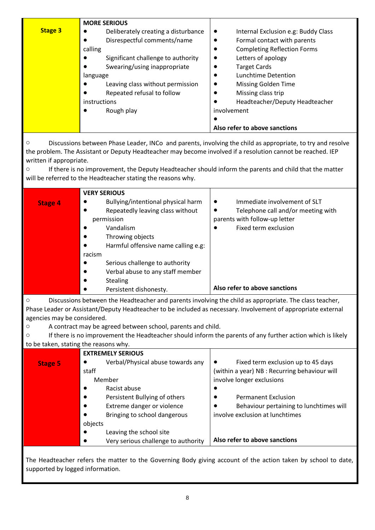|                                       | <b>MORE SERIOUS</b>                                                                                         |                                                                                                               |  |
|---------------------------------------|-------------------------------------------------------------------------------------------------------------|---------------------------------------------------------------------------------------------------------------|--|
| <b>Stage 3</b>                        | Deliberately creating a disturbance<br>$\bullet$                                                            | Internal Exclusion e.g: Buddy Class<br>$\bullet$                                                              |  |
|                                       | Disrespectful comments/name                                                                                 | Formal contact with parents                                                                                   |  |
|                                       | calling                                                                                                     | <b>Completing Reflection Forms</b>                                                                            |  |
|                                       | Significant challenge to authority                                                                          | Letters of apology                                                                                            |  |
|                                       | Swearing/using inappropriate                                                                                | <b>Target Cards</b>                                                                                           |  |
|                                       | language                                                                                                    | Lunchtime Detention                                                                                           |  |
|                                       | Leaving class without permission                                                                            | <b>Missing Golden Time</b>                                                                                    |  |
|                                       | Repeated refusal to follow                                                                                  | Missing class trip                                                                                            |  |
|                                       | instructions                                                                                                | Headteacher/Deputy Headteacher                                                                                |  |
|                                       | Rough play                                                                                                  | involvement                                                                                                   |  |
|                                       |                                                                                                             | Also refer to above sanctions                                                                                 |  |
|                                       |                                                                                                             |                                                                                                               |  |
| $\circ$                               |                                                                                                             | Discussions between Phase Leader, INCo and parents, involving the child as appropriate, to try and resolve    |  |
|                                       | the problem. The Assistant or Deputy Headteacher may become involved if a resolution cannot be reached. IEP |                                                                                                               |  |
| written if appropriate.               |                                                                                                             |                                                                                                               |  |
| $\circ$                               |                                                                                                             | If there is no improvement, the Deputy Headteacher should inform the parents and child that the matter        |  |
|                                       | will be referred to the Headteacher stating the reasons why.                                                |                                                                                                               |  |
|                                       | <b>VERY SERIOUS</b>                                                                                         |                                                                                                               |  |
| <b>Stage 4</b>                        | Bullying/intentional physical harm                                                                          | Immediate involvement of SLT<br>$\bullet$                                                                     |  |
|                                       | Repeatedly leaving class without                                                                            | Telephone call and/or meeting with                                                                            |  |
|                                       | permission                                                                                                  | parents with follow-up letter                                                                                 |  |
|                                       | Vandalism                                                                                                   | Fixed term exclusion                                                                                          |  |
|                                       | Throwing objects                                                                                            |                                                                                                               |  |
|                                       | Harmful offensive name calling e.g:                                                                         |                                                                                                               |  |
|                                       | racism                                                                                                      |                                                                                                               |  |
|                                       | Serious challenge to authority                                                                              |                                                                                                               |  |
|                                       | Verbal abuse to any staff member                                                                            |                                                                                                               |  |
|                                       | Stealing                                                                                                    | Also refer to above sanctions                                                                                 |  |
|                                       | Persistent dishonesty.                                                                                      |                                                                                                               |  |
|                                       |                                                                                                             | Discussions between the Headteacher and parents involving the child as appropriate. The class teacher,        |  |
|                                       |                                                                                                             | Phase Leader or Assistant/Deputy Headteacher to be included as necessary. Involvement of appropriate external |  |
| agencies may be considered.           |                                                                                                             |                                                                                                               |  |
| $\circ$<br>$\circ$                    | A contract may be agreed between school, parents and child.                                                 | If there is no improvement the Headteacher should inform the parents of any further action which is likely    |  |
| to be taken, stating the reasons why. |                                                                                                             |                                                                                                               |  |
|                                       | <b>EXTREMELY SERIOUS</b>                                                                                    |                                                                                                               |  |
| <b>Stage 5</b>                        | Verbal/Physical abuse towards any                                                                           | Fixed term exclusion up to 45 days                                                                            |  |
|                                       | staff                                                                                                       | (within a year) NB : Recurring behaviour will                                                                 |  |
|                                       | Member                                                                                                      | involve longer exclusions                                                                                     |  |
|                                       | Racist abuse                                                                                                |                                                                                                               |  |
|                                       | Persistent Bullying of others                                                                               | <b>Permanent Exclusion</b>                                                                                    |  |
|                                       | Extreme danger or violence                                                                                  | Behaviour pertaining to lunchtimes will                                                                       |  |
|                                       | Bringing to school dangerous                                                                                | involve exclusion at lunchtimes                                                                               |  |
|                                       | objects                                                                                                     |                                                                                                               |  |
|                                       | Leaving the school site                                                                                     |                                                                                                               |  |
|                                       | Very serious challenge to authority                                                                         | Also refer to above sanctions                                                                                 |  |
|                                       |                                                                                                             |                                                                                                               |  |

The Headteacher refers the matter to the Governing Body giving account of the action taken by school to date, supported by logged information.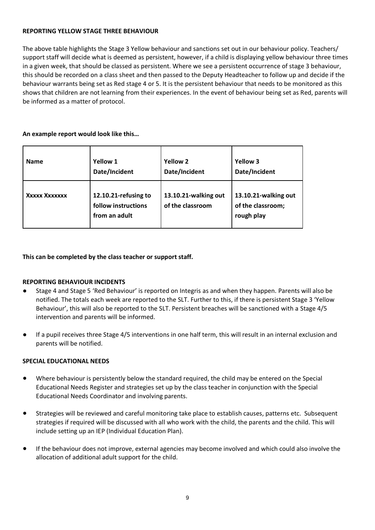#### **REPORTING YELLOW STAGE THREE BEHAVIOUR**

The above table highlights the Stage 3 Yellow behaviour and sanctions set out in our behaviour policy. Teachers/ support staff will decide what is deemed as persistent, however, if a child is displaying yellow behaviour three times in a given week, that should be classed as persistent. Where we see a persistent occurrence of stage 3 behaviour, this should be recorded on a class sheet and then passed to the Deputy Headteacher to follow up and decide if the behaviour warrants being set as Red stage 4 or 5. It is the persistent behaviour that needs to be monitored as this shows that children are not learning from their experiences. In the event of behaviour being set as Red, parents will be informed as a matter of protocol.

#### **An example report would look like this…**

| <b>Name</b>   | Yellow 1                                                     | <b>Yellow 2</b>                          | <b>Yellow 3</b>                                         |
|---------------|--------------------------------------------------------------|------------------------------------------|---------------------------------------------------------|
|               | Date/Incident                                                | Date/Incident                            | Date/Incident                                           |
| XXXXX XXXXXXX | 12.10.21-refusing to<br>follow instructions<br>from an adult | 13.10.21-walking out<br>of the classroom | 13.10.21-walking out<br>of the classroom;<br>rough play |

#### **This can be completed by the class teacher or support staff.**

#### **REPORTING BEHAVIOUR INCIDENTS**

- Stage 4 and Stage 5 'Red Behaviour' is reported on Integris as and when they happen. Parents will also be notified. The totals each week are reported to the SLT. Further to this, if there is persistent Stage 3 'Yellow Behaviour', this will also be reported to the SLT. Persistent breaches will be sanctioned with a Stage 4/5 intervention and parents will be informed.
- If a pupil receives three Stage 4/5 interventions in one half term, this will result in an internal exclusion and parents will be notified.

#### **SPECIAL EDUCATIONAL NEEDS**

- Where behaviour is persistently below the standard required, the child may be entered on the Special Educational Needs Register and strategies set up by the class teacher in conjunction with the Special Educational Needs Coordinator and involving parents.
- Strategies will be reviewed and careful monitoring take place to establish causes, patterns etc. Subsequent strategies if required will be discussed with all who work with the child, the parents and the child. This will include setting up an IEP (Individual Education Plan).
- If the behaviour does not improve, external agencies may become involved and which could also involve the allocation of additional adult support for the child.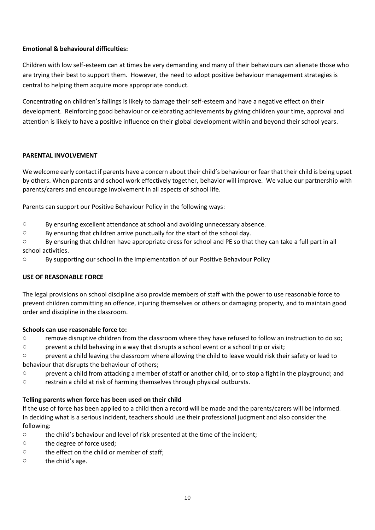#### **Emotional & behavioural difficulties:**

Children with low self-esteem can at times be very demanding and many of their behaviours can alienate those who are trying their best to support them. However, the need to adopt positive behaviour management strategies is central to helping them acquire more appropriate conduct.

Concentrating on children's failings is likely to damage their self-esteem and have a negative effect on their development. Reinforcing good behaviour or celebrating achievements by giving children your time, approval and attention is likely to have a positive influence on their global development within and beyond their school years.

#### **PARENTAL INVOLVEMENT**

We welcome early contact if parents have a concern about their child's behaviour or fear that their child is being upset by others. When parents and school work effectively together, behavior will improve. We value our partnership with parents/carers and encourage involvement in all aspects of school life.

Parents can support our Positive Behaviour Policy in the following ways:

- o By ensuring excellent attendance at school and avoiding unnecessary absence.
- o By ensuring that children arrive punctually for the start of the school day.

o By ensuring that children have appropriate dress for school and PE so that they can take a full part in all school activities.

o By supporting our school in the implementation of our Positive Behaviour Policy

#### **USE OF REASONABLE FORCE**

The legal provisions on school discipline also provide members of staff with the power to use reasonable force to prevent children committing an offence, injuring themselves or others or damaging property, and to maintain good order and discipline in the classroom.

#### **Schools can use reasonable force to:**

- o remove disruptive children from the classroom where they have refused to follow an instruction to do so;
- $\circ$  prevent a child behaving in a way that disrupts a school event or a school trip or visit;

o prevent a child leaving the classroom where allowing the child to leave would risk their safety or lead to behaviour that disrupts the behaviour of others;

- $\circ$  prevent a child from attacking a member of staff or another child, or to stop a fight in the playground; and
- o restrain a child at risk of harming themselves through physical outbursts.

#### **Telling parents when force has been used on their child**

If the use of force has been applied to a child then a record will be made and the parents/carers will be informed. In deciding what is a serious incident, teachers should use their professional judgment and also consider the following:

- o the child's behaviour and level of risk presented at the time of the incident;
- o the degree of force used;
- o the effect on the child or member of staff;
- o the child's age.